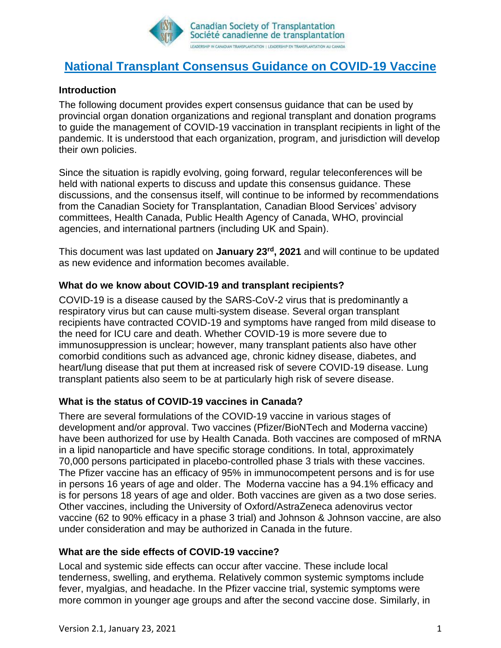

# **National Transplant Consensus Guidance on COVID-19 Vaccine**

# **Introduction**

The following document provides expert consensus guidance that can be used by provincial organ donation organizations and regional transplant and donation programs to guide the management of COVID-19 vaccination in transplant recipients in light of the pandemic. It is understood that each organization, program, and jurisdiction will develop their own policies.

Since the situation is rapidly evolving, going forward, regular teleconferences will be held with national experts to discuss and update this consensus guidance. These discussions, and the consensus itself, will continue to be informed by recommendations from the Canadian Society for Transplantation, Canadian Blood Services' advisory committees, Health Canada, Public Health Agency of Canada, WHO, provincial agencies, and international partners (including UK and Spain).

This document was last updated on **January 23 rd, 2021** and will continue to be updated as new evidence and information becomes available.

## **What do we know about COVID-19 and transplant recipients?**

COVID-19 is a disease caused by the SARS-CoV-2 virus that is predominantly a respiratory virus but can cause multi-system disease. Several organ transplant recipients have contracted COVID-19 and symptoms have ranged from mild disease to the need for ICU care and death. Whether COVID-19 is more severe due to immunosuppression is unclear; however, many transplant patients also have other comorbid conditions such as advanced age, chronic kidney disease, diabetes, and heart/lung disease that put them at increased risk of severe COVID-19 disease. Lung transplant patients also seem to be at particularly high risk of severe disease.

# **What is the status of COVID-19 vaccines in Canada?**

There are several formulations of the COVID-19 vaccine in various stages of development and/or approval. Two vaccines (Pfizer/BioNTech and Moderna vaccine) have been authorized for use by Health Canada. Both vaccines are composed of mRNA in a lipid nanoparticle and have specific storage conditions. In total, approximately 70,000 persons participated in placebo-controlled phase 3 trials with these vaccines. The Pfizer vaccine has an efficacy of 95% in immunocompetent persons and is for use in persons 16 years of age and older. The Moderna vaccine has a 94.1% efficacy and is for persons 18 years of age and older. Both vaccines are given as a two dose series. Other vaccines, including the University of Oxford/AstraZeneca adenovirus vector vaccine (62 to 90% efficacy in a phase 3 trial) and Johnson & Johnson vaccine, are also under consideration and may be authorized in Canada in the future.

#### **What are the side effects of COVID-19 vaccine?**

Local and systemic side effects can occur after vaccine. These include local tenderness, swelling, and erythema. Relatively common systemic symptoms include fever, myalgias, and headache. In the Pfizer vaccine trial, systemic symptoms were more common in younger age groups and after the second vaccine dose. Similarly, in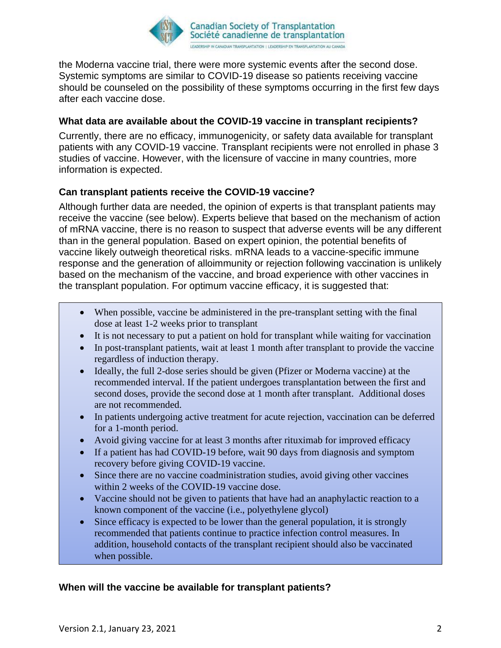

the Moderna vaccine trial, there were more systemic events after the second dose. Systemic symptoms are similar to COVID-19 disease so patients receiving vaccine should be counseled on the possibility of these symptoms occurring in the first few days after each vaccine dose.

## **What data are available about the COVID-19 vaccine in transplant recipients?**

Currently, there are no efficacy, immunogenicity, or safety data available for transplant patients with any COVID-19 vaccine. Transplant recipients were not enrolled in phase 3 studies of vaccine. However, with the licensure of vaccine in many countries, more information is expected.

# **Can transplant patients receive the COVID-19 vaccine?**

Although further data are needed, the opinion of experts is that transplant patients may receive the vaccine (see below). Experts believe that based on the mechanism of action of mRNA vaccine, there is no reason to suspect that adverse events will be any different than in the general population. Based on expert opinion, the potential benefits of vaccine likely outweigh theoretical risks. mRNA leads to a vaccine-specific immune response and the generation of alloimmunity or rejection following vaccination is unlikely based on the mechanism of the vaccine, and broad experience with other vaccines in the transplant population. For optimum vaccine efficacy, it is suggested that:

- When possible, vaccine be administered in the pre-transplant setting with the final dose at least 1-2 weeks prior to transplant
- It is not necessary to put a patient on hold for transplant while waiting for vaccination
- In post-transplant patients, wait at least 1 month after transplant to provide the vaccine regardless of induction therapy.
- Ideally, the full 2-dose series should be given (Pfizer or Moderna vaccine) at the recommended interval. If the patient undergoes transplantation between the first and second doses, provide the second dose at 1 month after transplant. Additional doses are not recommended.
- In patients undergoing active treatment for acute rejection, vaccination can be deferred for a 1-month period.
- Avoid giving vaccine for at least 3 months after rituximab for improved efficacy
- If a patient has had COVID-19 before, wait 90 days from diagnosis and symptom recovery before giving COVID-19 vaccine.
- Since there are no vaccine coadministration studies, avoid giving other vaccines within 2 weeks of the COVID-19 vaccine dose.
- Vaccine should not be given to patients that have had an anaphylactic reaction to a known component of the vaccine (i.e., polyethylene glycol)
- Since efficacy is expected to be lower than the general population, it is strongly recommended that patients continue to practice infection control measures. In addition, household contacts of the transplant recipient should also be vaccinated when possible.

#### **When will the vaccine be available for transplant patients?**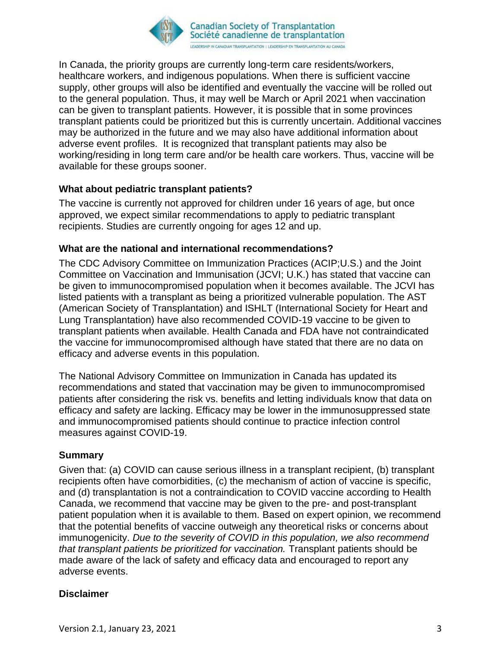

In Canada, the priority groups are currently long-term care residents/workers, healthcare workers, and indigenous populations. When there is sufficient vaccine supply, other groups will also be identified and eventually the vaccine will be rolled out to the general population. Thus, it may well be March or April 2021 when vaccination can be given to transplant patients. However, it is possible that in some provinces transplant patients could be prioritized but this is currently uncertain. Additional vaccines may be authorized in the future and we may also have additional information about adverse event profiles. It is recognized that transplant patients may also be working/residing in long term care and/or be health care workers. Thus, vaccine will be available for these groups sooner.

## **What about pediatric transplant patients?**

The vaccine is currently not approved for children under 16 years of age, but once approved, we expect similar recommendations to apply to pediatric transplant recipients. Studies are currently ongoing for ages 12 and up.

#### **What are the national and international recommendations?**

The CDC Advisory Committee on Immunization Practices (ACIP;U.S.) and the Joint Committee on Vaccination and Immunisation (JCVI; U.K.) has stated that vaccine can be given to immunocompromised population when it becomes available. The JCVI has listed patients with a transplant as being a prioritized vulnerable population. The AST (American Society of Transplantation) and ISHLT (International Society for Heart and Lung Transplantation) have also recommended COVID-19 vaccine to be given to transplant patients when available. Health Canada and FDA have not contraindicated the vaccine for immunocompromised although have stated that there are no data on efficacy and adverse events in this population.

The National Advisory Committee on Immunization in Canada has updated its recommendations and stated that vaccination may be given to immunocompromised patients after considering the risk vs. benefits and letting individuals know that data on efficacy and safety are lacking. Efficacy may be lower in the immunosuppressed state and immunocompromised patients should continue to practice infection control measures against COVID-19.

#### **Summary**

Given that: (a) COVID can cause serious illness in a transplant recipient, (b) transplant recipients often have comorbidities, (c) the mechanism of action of vaccine is specific, and (d) transplantation is not a contraindication to COVID vaccine according to Health Canada, we recommend that vaccine may be given to the pre- and post-transplant patient population when it is available to them. Based on expert opinion, we recommend that the potential benefits of vaccine outweigh any theoretical risks or concerns about immunogenicity. *Due to the severity of COVID in this population, we also recommend that transplant patients be prioritized for vaccination.* Transplant patients should be made aware of the lack of safety and efficacy data and encouraged to report any adverse events.

#### **Disclaimer**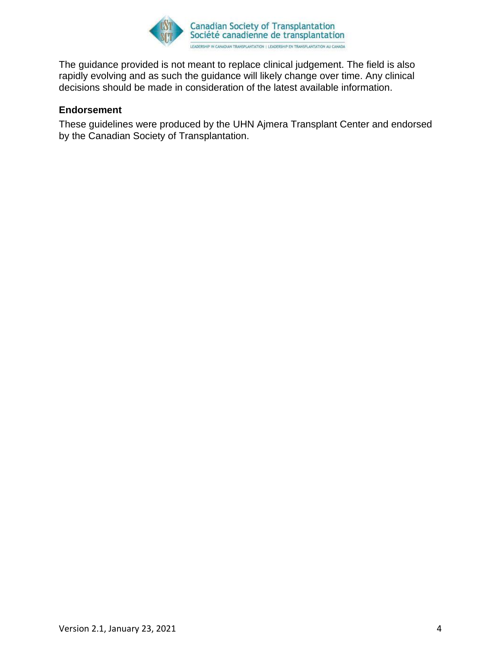

The guidance provided is not meant to replace clinical judgement. The field is also rapidly evolving and as such the guidance will likely change over time. Any clinical decisions should be made in consideration of the latest available information.

#### **Endorsement**

These guidelines were produced by the UHN Ajmera Transplant Center and endorsed by the Canadian Society of Transplantation.